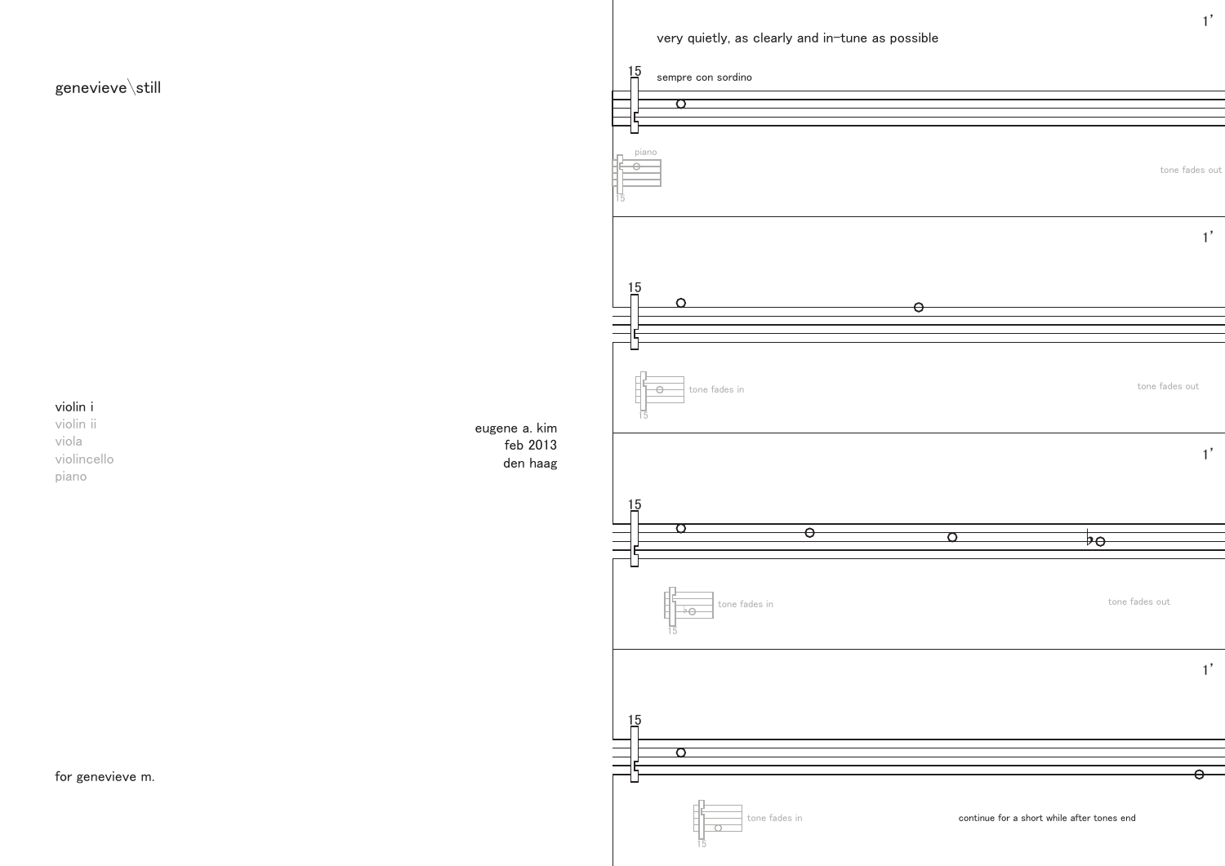



1'

15

15



## violin i

violin ii viola violincello piano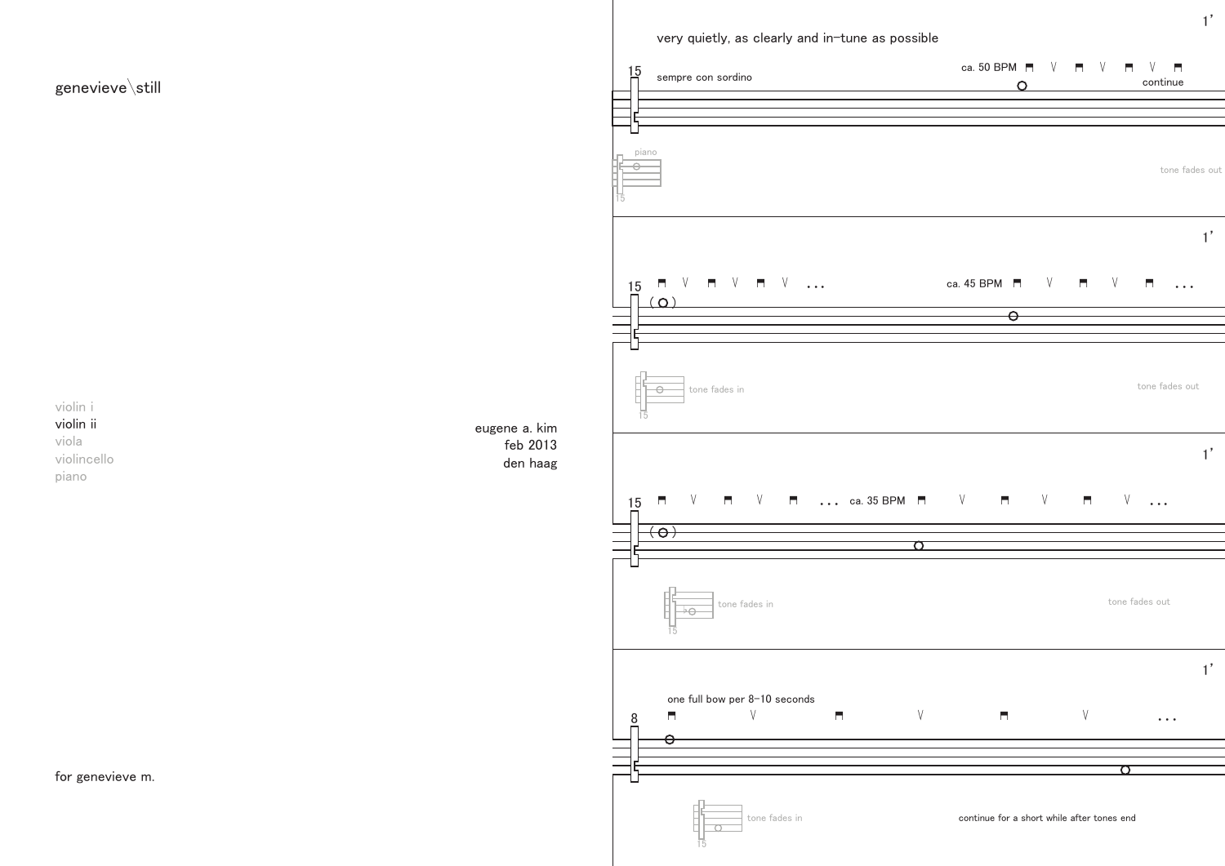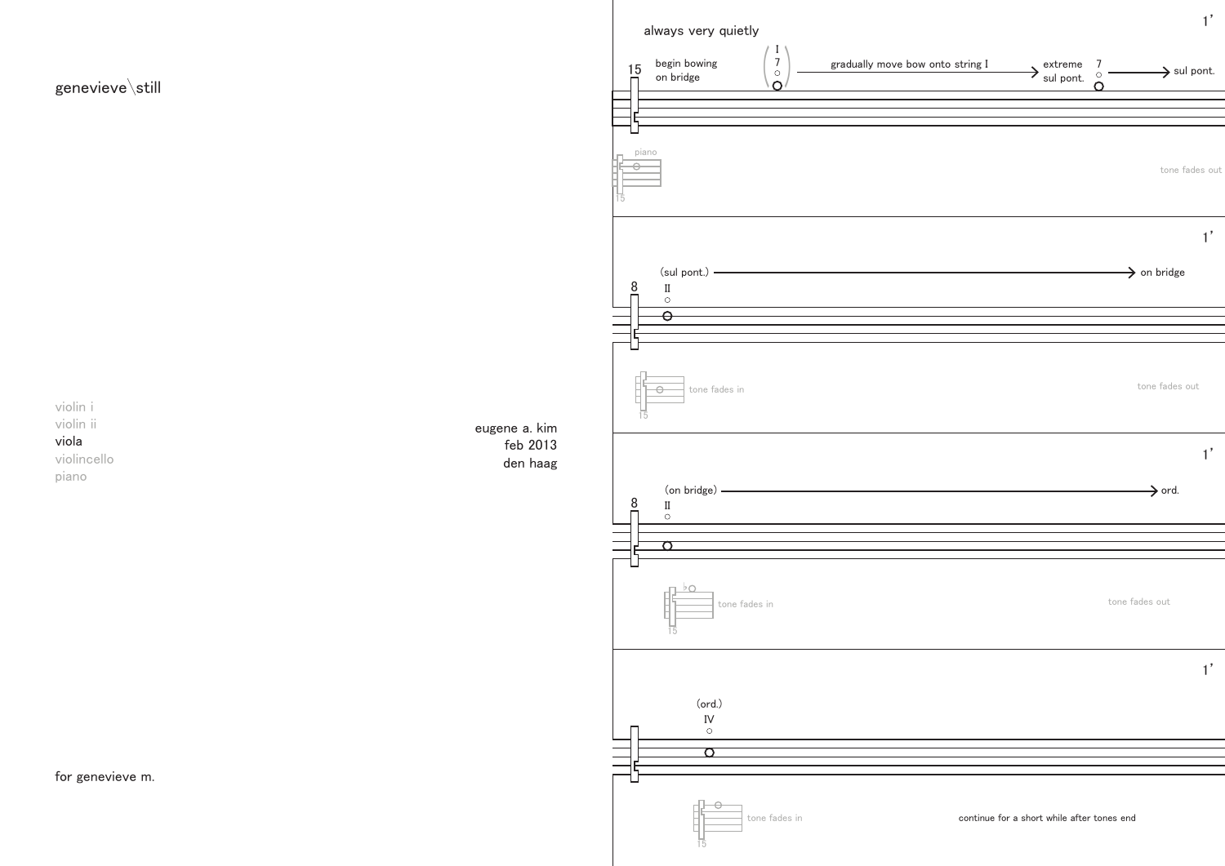

always very quietly

1'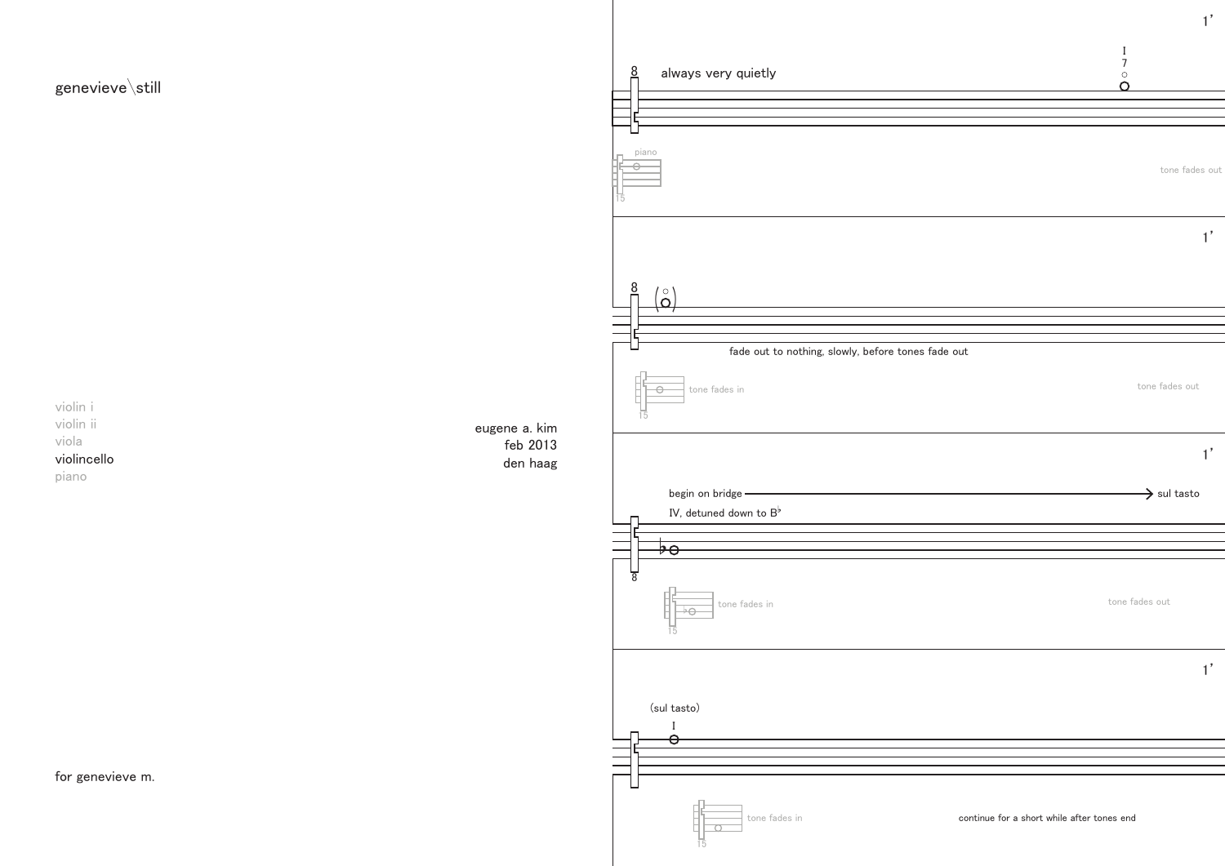



violin i violin ii viola violincello piano

for genevieve m.